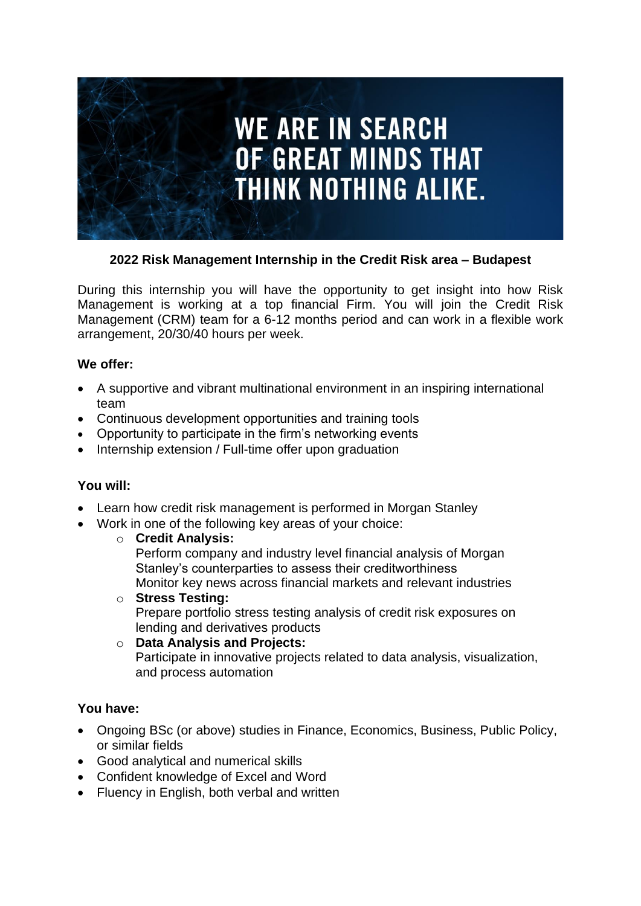

### **2022 Risk Management Internship in the Credit Risk area – Budapest**

During this internship you will have the opportunity to get insight into how Risk Management is working at a top financial Firm. You will join the Credit Risk Management (CRM) team for a 6-12 months period and can work in a flexible work arrangement, 20/30/40 hours per week.

#### **We offer:**

- A supportive and vibrant multinational environment in an inspiring international team
- Continuous development opportunities and training tools
- Opportunity to participate in the firm's networking events
- Internship extension / Full-time offer upon graduation

# **You will:**

- Learn how credit risk management is performed in Morgan Stanley
- Work in one of the following key areas of your choice:
	- o **Credit Analysis:**

Perform company and industry level financial analysis of Morgan Stanley's counterparties to assess their creditworthiness Monitor key news across financial markets and relevant industries

- o **Stress Testing:**  Prepare portfolio stress testing analysis of credit risk exposures on lending and derivatives products
- o **Data Analysis and Projects:** Participate in innovative projects related to data analysis, visualization, and process automation

# **You have:**

- Ongoing BSc (or above) studies in Finance, Economics, Business, Public Policy, or similar fields
- Good analytical and numerical skills
- Confident knowledge of Excel and Word
- Fluency in English, both verbal and written